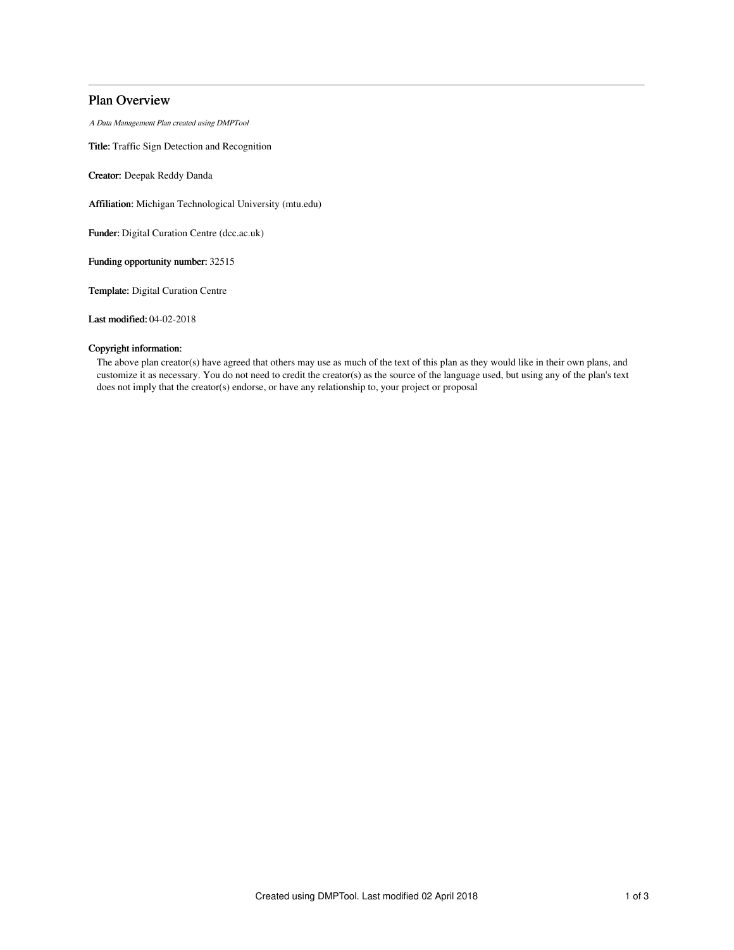# Plan Overview

A Data Management Plan created using DMPTool

Title: Traffic Sign Detection and Recognition

Creator: Deepak Reddy Danda

Affiliation: Michigan Technological University (mtu.edu)

Funder: Digital Curation Centre (dcc.ac.uk)

Funding opportunity number: 32515

Template: Digital Curation Centre

Last modified: 04-02-2018

## Copyright information:

The above plan creator(s) have agreed that others may use as much of the text of this plan as they would like in their own plans, and customize it as necessary. You do not need to credit the creator(s) as the source of the language used, but using any of the plan's text does not imply that the creator(s) endorse, or have any relationship to, your project or proposal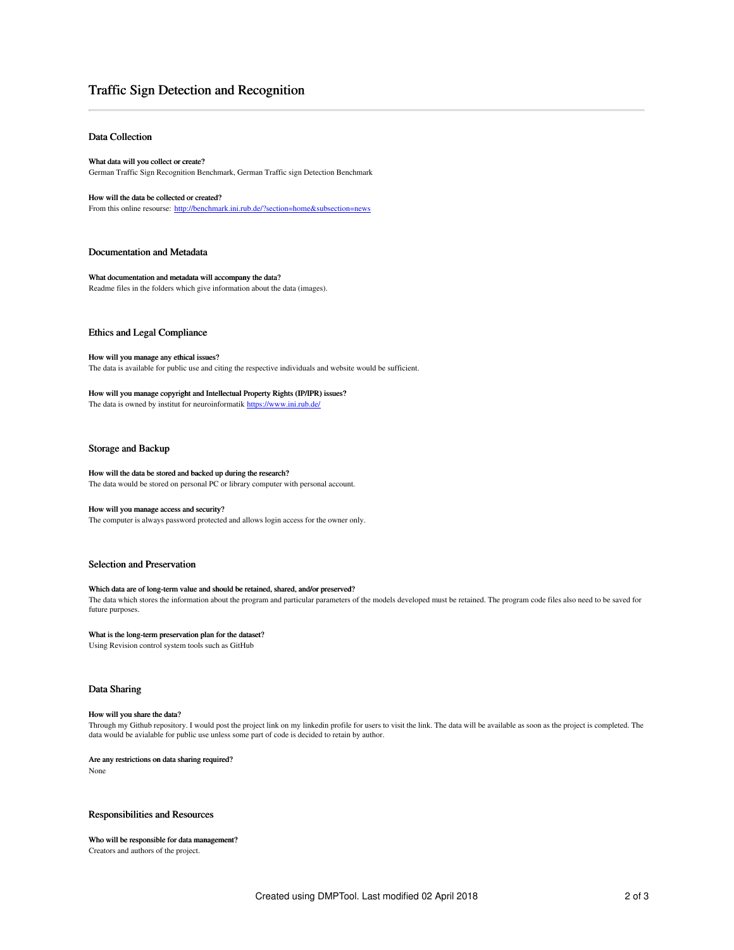# Traffic Sign Detection and Recognition

## Data Collection

What data will you collect or create? German Traffic Sign Recognition Benchmark, German Traffic sign Detection Benchmark

### How will the data be collected or created?

From this online resourse: <http://benchmark.ini.rub.de/?section=home&subsection=news>

### Documentation and Metadata

What documentation and metadata will accompany the data? Readme files in the folders which give information about the data (images).

## Ethics and Legal Compliance

## How will you manage any ethical issues?

The data is available for public use and citing the respective individuals and website would be sufficient.

## How will you manage copyright and Intellectual Property Rights (IP/IPR) issues? The data is owned by institut for neuroinformatik <https://www.ini.rub.de/>

## Storage and Backup

# How will the data be stored and backed up during the research?

The data would be stored on personal PC or library computer with personal account.

## How will you manage access and security?

The computer is always password protected and allows login access for the owner only.

## Selection and Preservation

## Which data are of long-term value and should be retained, shared, and/or preserved?

The data which stores the information about the program and particular parameters of the models developed must be retained. The program code files also need to be saved for future purposes.

## What is the long-term preservation plan for the dataset?

Using Revision control system tools such as GitHub

## Data Sharing

#### How will you share the data?

Through my Github repository. I would post the project link on my linkedin profile for users to visit the link. The data will be available as soon as the project is completed. The data would be avialable for public use unless some part of code is decided to retain by author.

#### Are any restrictions on data sharing required?

None

### Responsibilities and Resources

## Who will be responsible for data management?

Creators and authors of the project.